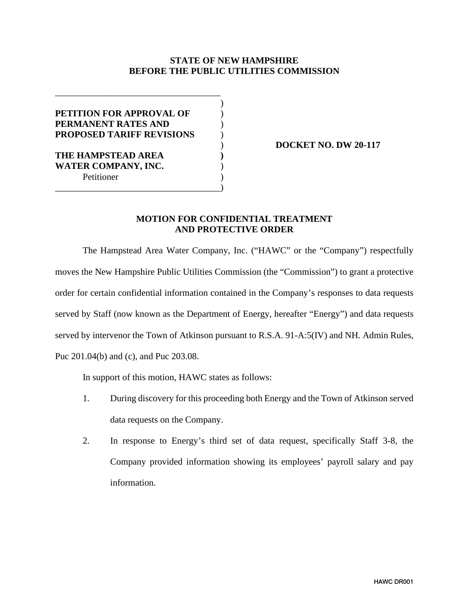## **STATE OF NEW HAMPSHIRE BEFORE THE PUBLIC UTILITIES COMMISSION**

| <b>PETITION FOR APPROVAL OF</b>  |  |
|----------------------------------|--|
| PERMANENT RATES AND              |  |
| <b>PROPOSED TARIFF REVISIONS</b> |  |
|                                  |  |
| THE HAMPSTEAD AREA               |  |
| <b>WATER COMPANY, INC.</b>       |  |
| Petitioner                       |  |
|                                  |  |

) **DOCKET NO. DW 20-117**

## **MOTION FOR CONFIDENTIAL TREATMENT AND PROTECTIVE ORDER**

The Hampstead Area Water Company, Inc. ("HAWC" or the "Company") respectfully moves the New Hampshire Public Utilities Commission (the "Commission") to grant a protective order for certain confidential information contained in the Company's responses to data requests served by Staff (now known as the Department of Energy, hereafter "Energy") and data requests served by intervenor the Town of Atkinson pursuant to R.S.A. 91-A:5(IV) and NH. Admin Rules, Puc 201.04(b) and (c), and Puc 203.08.

In support of this motion, HAWC states as follows:

- 1. During discovery for this proceeding both Energy and the Town of Atkinson served data requests on the Company.
- 2. In response to Energy's third set of data request, specifically Staff 3-8, the Company provided information showing its employees' payroll salary and pay information.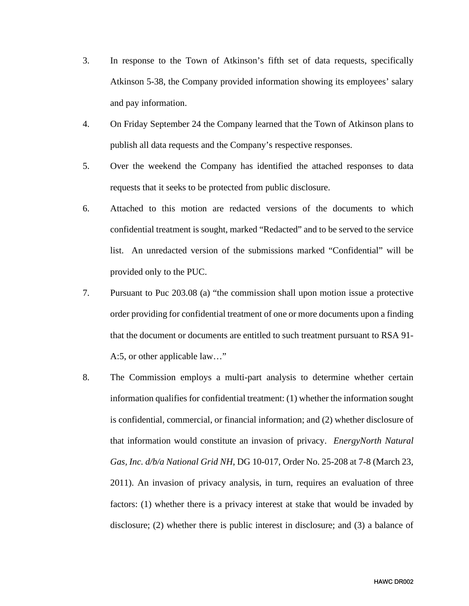- 3. In response to the Town of Atkinson's fifth set of data requests, specifically Atkinson 5-38, the Company provided information showing its employees' salary and pay information.
- 4. On Friday September 24 the Company learned that the Town of Atkinson plans to publish all data requests and the Company's respective responses.
- 5. Over the weekend the Company has identified the attached responses to data requests that it seeks to be protected from public disclosure.
- 6. Attached to this motion are redacted versions of the documents to which confidential treatment is sought, marked "Redacted" and to be served to the service list. An unredacted version of the submissions marked "Confidential" will be provided only to the PUC.
- 7. Pursuant to Puc 203.08 (a) "the commission shall upon motion issue a protective order providing for confidential treatment of one or more documents upon a finding that the document or documents are entitled to such treatment pursuant to RSA 91- A:5, or other applicable law…"
- 8. The Commission employs a multi-part analysis to determine whether certain information qualifies for confidential treatment: (1) whether the information sought is confidential, commercial, or financial information; and (2) whether disclosure of that information would constitute an invasion of privacy. *EnergyNorth Natural Gas, Inc. d/b/a National Grid NH*, DG 10-017, Order No. 25-208 at 7-8 (March 23, 2011). An invasion of privacy analysis, in turn, requires an evaluation of three factors: (1) whether there is a privacy interest at stake that would be invaded by disclosure; (2) whether there is public interest in disclosure; and (3) a balance of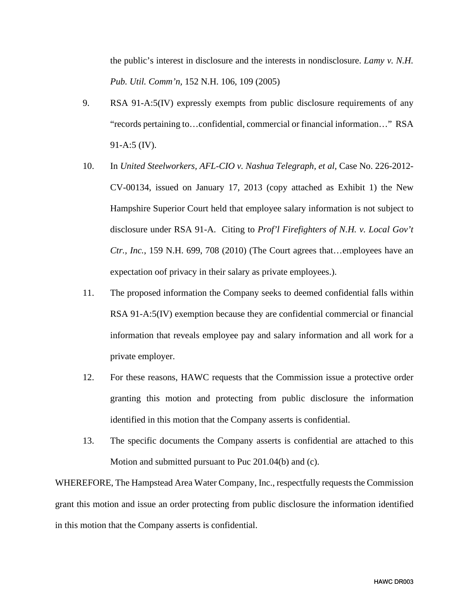the public's interest in disclosure and the interests in nondisclosure. *Lamy v. N.H. Pub. Util. Comm'n,* 152 N.H. 106, 109 (2005)

- 9. RSA 91-A:5(IV) expressly exempts from public disclosure requirements of any "records pertaining to…confidential, commercial or financial information…" RSA 91-A:5 (IV).
- 10. In *United Steelworkers, AFL-CIO v. Nashua Telegraph, et al, Case No.* 226-2012-CV-00134, issued on January 17, 2013 (copy attached as Exhibit 1) the New Hampshire Superior Court held that employee salary information is not subject to disclosure under RSA 91-A. Citing to *Prof'l Firefighters of N.H. v. Local Gov't Ctr., Inc.*, 159 N.H. 699, 708 (2010) (The Court agrees that…employees have an expectation oof privacy in their salary as private employees.).
- 11. The proposed information the Company seeks to deemed confidential falls within RSA 91-A:5(IV) exemption because they are confidential commercial or financial information that reveals employee pay and salary information and all work for a private employer.
- 12. For these reasons, HAWC requests that the Commission issue a protective order granting this motion and protecting from public disclosure the information identified in this motion that the Company asserts is confidential.
- 13. The specific documents the Company asserts is confidential are attached to this Motion and submitted pursuant to Puc 201.04(b) and (c).

WHEREFORE, The Hampstead Area Water Company, Inc., respectfully requests the Commission grant this motion and issue an order protecting from public disclosure the information identified in this motion that the Company asserts is confidential.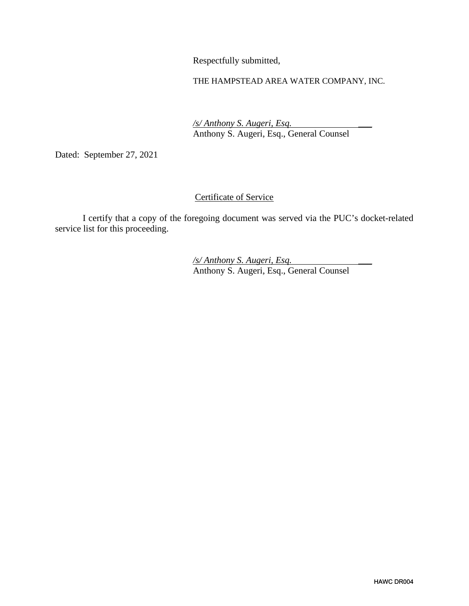Respectfully submitted,

THE HAMPSTEAD AREA WATER COMPANY, INC.

 */s/ Anthony S. Augeri, Esq.* \_\_\_ Anthony S. Augeri, Esq., General Counsel

Dated: September 27, 2021

## Certificate of Service

I certify that a copy of the foregoing document was served via the PUC's docket-related service list for this proceeding.

 */s/ Anthony S. Augeri, Esq.* \_\_\_ Anthony S. Augeri, Esq., General Counsel